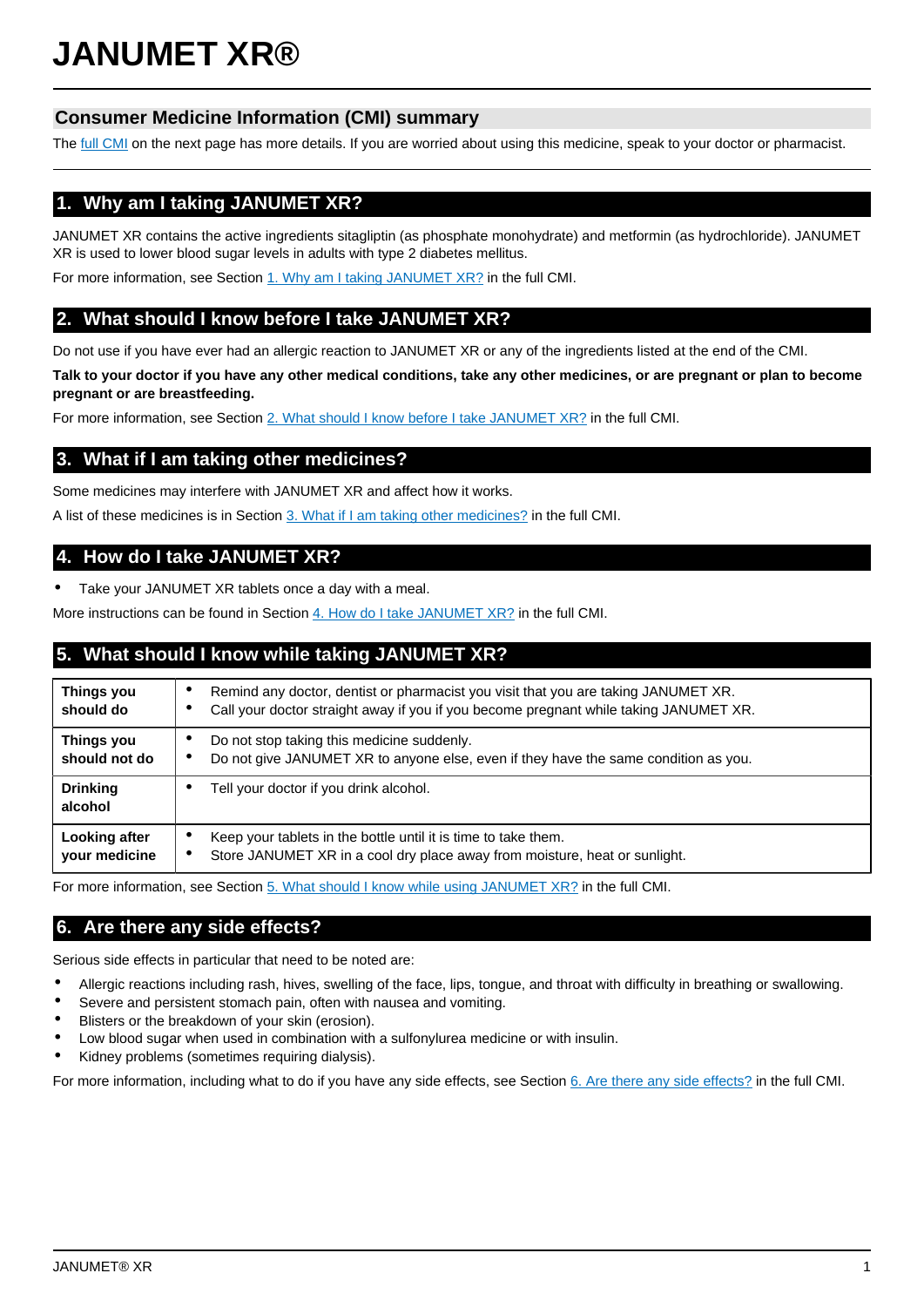# **JANUMET XR®**

## **Consumer Medicine Information (CMI) summary**

The [full CMI](#page-1-0) on the next page has more details. If you are worried about using this medicine, speak to your doctor or pharmacist.

## **1. Why am I taking JANUMET XR?**

JANUMET XR contains the active ingredients sitagliptin (as phosphate monohydrate) and metformin (as hydrochloride). JANUMET XR is used to lower blood sugar levels in adults with type 2 diabetes mellitus.

For more information, see Section [1. Why am I taking JANUMET XR?](#page-1-1) in the full CMI.

## **2. What should I know before I take JANUMET XR?**

Do not use if you have ever had an allergic reaction to JANUMET XR or any of the ingredients listed at the end of the CMI.

**Talk to your doctor if you have any other medical conditions, take any other medicines, or are pregnant or plan to become pregnant or are breastfeeding.**

For more information, see Section [2. What should I know before I take JANUMET XR?](#page-1-2) in the full CMI.

## **3. What if I am taking other medicines?**

Some medicines may interfere with JANUMET XR and affect how it works.

A list of these medicines is in Section [3. What if I am taking other medicines?](#page-1-3) in the full CMI.

## **4. How do I take JANUMET XR?**

Take your JANUMET XR tablets once a day with a meal.

More instructions can be found in Section [4. How do I take JANUMET XR?](#page-1-4) in the full CMI.

## **5. What should I know while taking JANUMET XR?**

| Things you<br>should do        | Remind any doctor, dentist or pharmacist you visit that you are taking JANUMET XR.<br>c<br>Call your doctor straight away if you if you become pregnant while taking JANUMET XR. |  |
|--------------------------------|----------------------------------------------------------------------------------------------------------------------------------------------------------------------------------|--|
| Things you<br>should not do    | Do not stop taking this medicine suddenly.<br>Do not give JANUMET XR to anyone else, even if they have the same condition as you.                                                |  |
| <b>Drinking</b><br>alcohol     | Tell your doctor if you drink alcohol.                                                                                                                                           |  |
| Looking after<br>your medicine | Keep your tablets in the bottle until it is time to take them.<br>٠<br>Store JANUMET XR in a cool dry place away from moisture, heat or sunlight.<br>$\bullet$                   |  |

For more information, see Section [5. What should I know while using JANUMET XR?](#page-2-0) in the full CMI.

## **6. Are there any side effects?**

Serious side effects in particular that need to be noted are:

- Allergic reactions including rash, hives, swelling of the face, lips, tongue, and throat with difficulty in breathing or swallowing.
- Severe and persistent stomach pain, often with nausea and vomiting.
- Blisters or the breakdown of your skin (erosion).
- Low blood sugar when used in combination with a sulfonylurea medicine or with insulin.
- Kidney problems (sometimes requiring dialysis).

For more information, including what to do if you have any side effects, see Section [6. Are there any side effects?](#page-3-0) in the full CMI.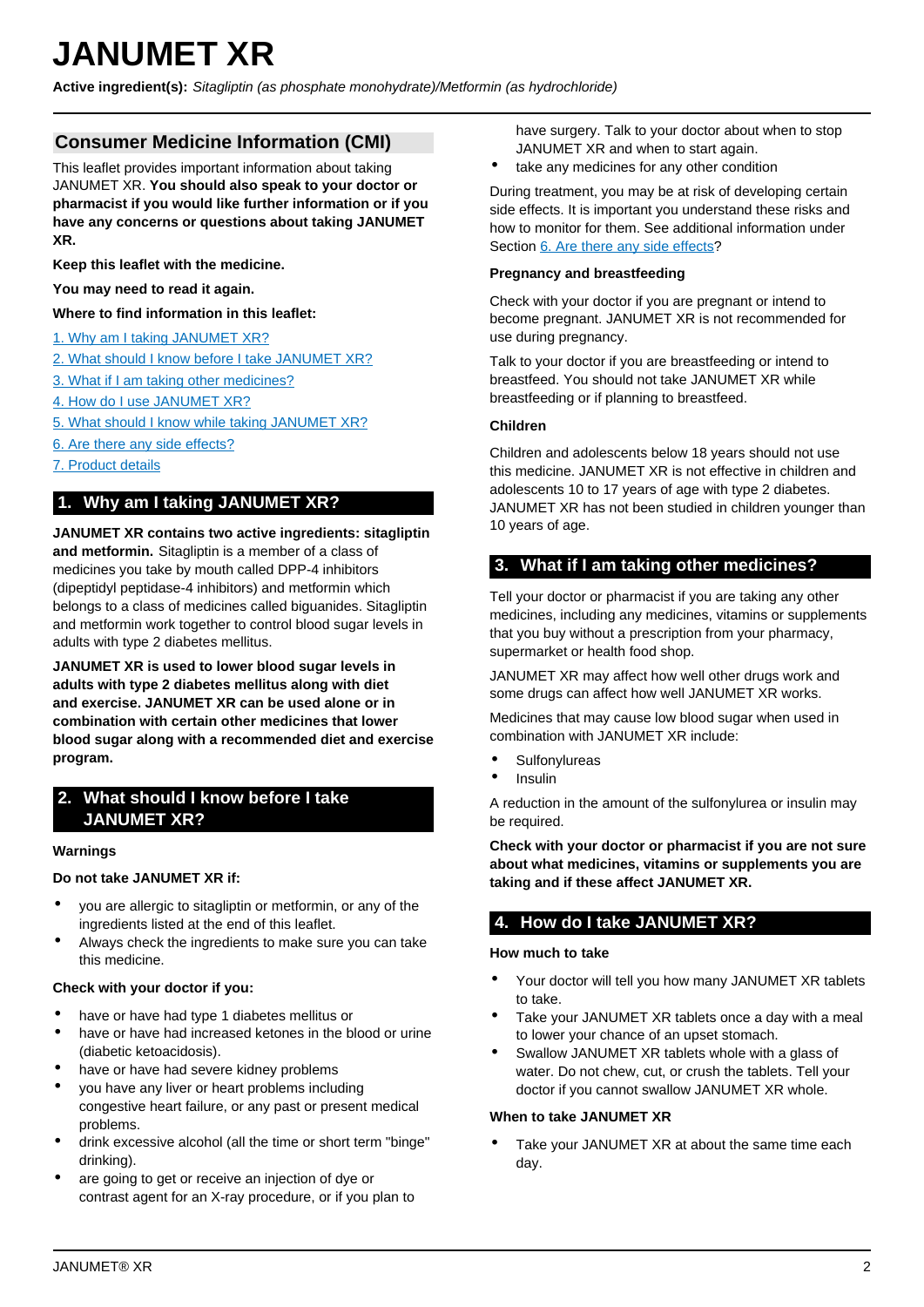# <span id="page-1-0"></span>**JANUMET XR**

**Active ingredient(s):** Sitagliptin (as phosphate monohydrate)/Metformin (as hydrochloride)

## **Consumer Medicine Information (CMI)**

This leaflet provides important information about taking JANUMET XR. **You should also speak to your doctor or pharmacist if you would like further information or if you have any concerns or questions about taking JANUMET XR.**

**Keep this leaflet with the medicine.**

**You may need to read it again.**

**Where to find information in this leaflet:**

- [1. Why am I taking JANUMET XR?](#page-1-1)
- [2. What should I know before I take JANUMET XR?](#page-1-2)
- [3. What if I am taking other medicines?](#page-1-3)
- [4. How do I use JANUMET XR?](#page-1-4)
- [5. What should I know while taking JANUMET XR?](#page-2-0)
- [6. Are there any side effects?](#page-3-0)
- [7. Product details](#page-3-1)

## <span id="page-1-1"></span>**1. Why am I taking JANUMET XR?**

**JANUMET XR contains two active ingredients: sitagliptin and metformin.** Sitagliptin is a member of a class of medicines you take by mouth called DPP-4 inhibitors (dipeptidyl peptidase-4 inhibitors) and metformin which belongs to a class of medicines called biguanides. Sitagliptin and metformin work together to control blood sugar levels in adults with type 2 diabetes mellitus.

**JANUMET XR is used to lower blood sugar levels in adults with type 2 diabetes mellitus along with diet and exercise. JANUMET XR can be used alone or in combination with certain other medicines that lower blood sugar along with a recommended diet and exercise program.**

## <span id="page-1-2"></span>**2. What should I know before I take JANUMET XR?**

#### **Warnings**

#### **Do not take JANUMET XR if:**

- you are allergic to sitagliptin or metformin, or any of the ingredients listed at the end of this leaflet.
- Always check the ingredients to make sure you can take this medicine.

#### **Check with your doctor if you:**

- have or have had type 1 diabetes mellitus or
- have or have had increased ketones in the blood or urine (diabetic ketoacidosis).
- have or have had severe kidney problems
- you have any liver or heart problems including congestive heart failure, or any past or present medical problems.
- drink excessive alcohol (all the time or short term "binge" drinking).
- are going to get or receive an injection of dye or contrast agent for an X-ray procedure, or if you plan to

have surgery. Talk to your doctor about when to stop JANUMET XR and when to start again.

take any medicines for any other condition

During treatment, you may be at risk of developing certain side effects. It is important you understand these risks and how to monitor for them. See additional information under Section [6. Are there any side effects](#page-3-0)?

#### **Pregnancy and breastfeeding**

Check with your doctor if you are pregnant or intend to become pregnant. JANUMET XR is not recommended for use during pregnancy.

Talk to your doctor if you are breastfeeding or intend to breastfeed. You should not take JANUMET XR while breastfeeding or if planning to breastfeed.

#### **Children**

Children and adolescents below 18 years should not use this medicine. JANUMET XR is not effective in children and adolescents 10 to 17 years of age with type 2 diabetes. JANUMET XR has not been studied in children younger than 10 years of age.

## <span id="page-1-3"></span>**3. What if I am taking other medicines?**

Tell your doctor or pharmacist if you are taking any other medicines, including any medicines, vitamins or supplements that you buy without a prescription from your pharmacy, supermarket or health food shop.

JANUMET XR may affect how well other drugs work and some drugs can affect how well JANUMET XR works.

Medicines that may cause low blood sugar when used in combination with JANUMET XR include:

- **Sulfonylureas**
- **Insulin**

A reduction in the amount of the sulfonylurea or insulin may be required.

**Check with your doctor or pharmacist if you are not sure about what medicines, vitamins or supplements you are taking and if these affect JANUMET XR.**

## <span id="page-1-4"></span>**4. How do I take JANUMET XR?**

#### **How much to take**

- Your doctor will tell you how many JANUMET XR tablets to take.
- Take your JANUMET XR tablets once a day with a meal to lower your chance of an upset stomach.
- Swallow JANUMET XR tablets whole with a glass of water. Do not chew, cut, or crush the tablets. Tell your doctor if you cannot swallow JANUMET XR whole.

#### **When to take JANUMET XR**

Take your JANUMET XR at about the same time each day.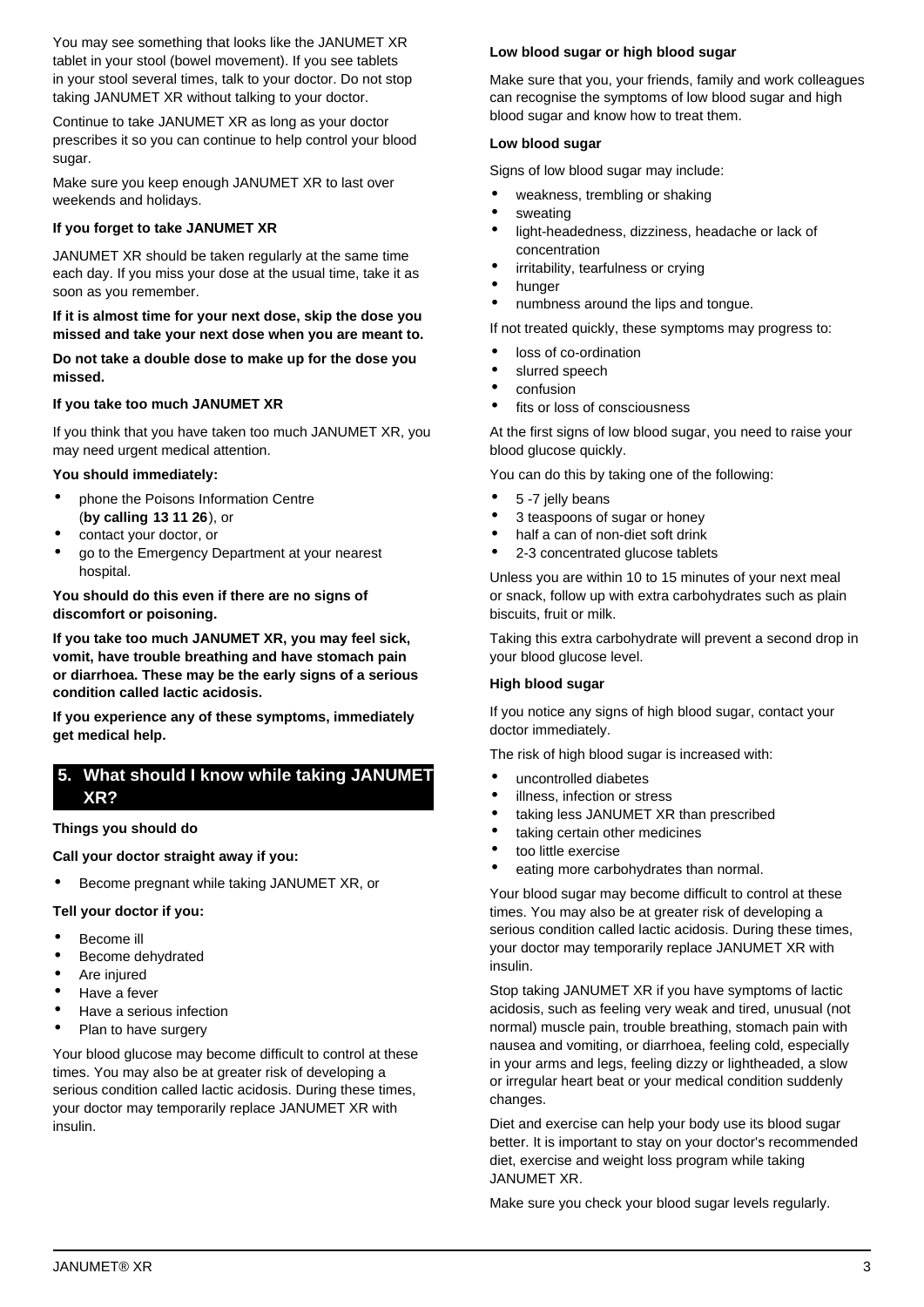You may see something that looks like the JANUMET XR tablet in your stool (bowel movement). If you see tablets in your stool several times, talk to your doctor. Do not stop taking JANUMET XR without talking to your doctor.

Continue to take JANUMET XR as long as your doctor prescribes it so you can continue to help control your blood sugar.

Make sure you keep enough JANUMET XR to last over weekends and holidays.

#### **If you forget to take JANUMET XR**

JANUMET XR should be taken regularly at the same time each day. If you miss your dose at the usual time, take it as soon as you remember.

#### **If it is almost time for your next dose, skip the dose you missed and take your next dose when you are meant to.**

**Do not take a double dose to make up for the dose you missed.**

#### **If you take too much JANUMET XR**

If you think that you have taken too much JANUMET XR, you may need urgent medical attention.

#### **You should immediately:**

- phone the Poisons Information Centre (**by calling 13 11 26**), or
- contact your doctor, or
- go to the Emergency Department at your nearest hospital.

#### **You should do this even if there are no signs of discomfort or poisoning.**

**If you take too much JANUMET XR, you may feel sick, vomit, have trouble breathing and have stomach pain or diarrhoea. These may be the early signs of a serious condition called lactic acidosis.**

**If you experience any of these symptoms, immediately get medical help.**

## <span id="page-2-0"></span>**5. What should I know while taking JANUMET XR?**

#### **Things you should do**

**Call your doctor straight away if you:**

• Become pregnant while taking JANUMET XR, or

#### **Tell your doctor if you:**

- Become ill
- Become dehydrated
- Are injured
- Have a fever
- Have a serious infection
- Plan to have surgery

Your blood glucose may become difficult to control at these times. You may also be at greater risk of developing a serious condition called lactic acidosis. During these times, your doctor may temporarily replace JANUMET XR with insulin.

#### **Low blood sugar or high blood sugar**

Make sure that you, your friends, family and work colleagues can recognise the symptoms of low blood sugar and high blood sugar and know how to treat them.

#### **Low blood sugar**

Signs of low blood sugar may include:

- weakness, trembling or shaking
- **sweating**
- light-headedness, dizziness, headache or lack of concentration
- irritability, tearfulness or crying
- hunger
- numbness around the lips and tongue.

If not treated quickly, these symptoms may progress to:

- loss of co-ordination
- slurred speech
- confusion
- fits or loss of consciousness

At the first signs of low blood sugar, you need to raise your blood glucose quickly.

You can do this by taking one of the following:

- 5 -7 jelly beans
- 3 teaspoons of sugar or honey
- half a can of non-diet soft drink
- 2-3 concentrated glucose tablets

Unless you are within 10 to 15 minutes of your next meal or snack, follow up with extra carbohydrates such as plain biscuits, fruit or milk.

Taking this extra carbohydrate will prevent a second drop in your blood glucose level.

#### **High blood sugar**

If you notice any signs of high blood sugar, contact your doctor immediately.

The risk of high blood sugar is increased with:

- uncontrolled diabetes
- illness, infection or stress
- taking less JANUMET XR than prescribed
- taking certain other medicines
	- too little exercise
	- eating more carbohydrates than normal.

Your blood sugar may become difficult to control at these times. You may also be at greater risk of developing a serious condition called lactic acidosis. During these times, your doctor may temporarily replace JANUMET XR with insulin.

Stop taking JANUMET XR if you have symptoms of lactic acidosis, such as feeling very weak and tired, unusual (not normal) muscle pain, trouble breathing, stomach pain with nausea and vomiting, or diarrhoea, feeling cold, especially in your arms and legs, feeling dizzy or lightheaded, a slow or irregular heart beat or your medical condition suddenly changes.

Diet and exercise can help your body use its blood sugar better. It is important to stay on your doctor's recommended diet, exercise and weight loss program while taking JANUMET XR.

Make sure you check your blood sugar levels regularly.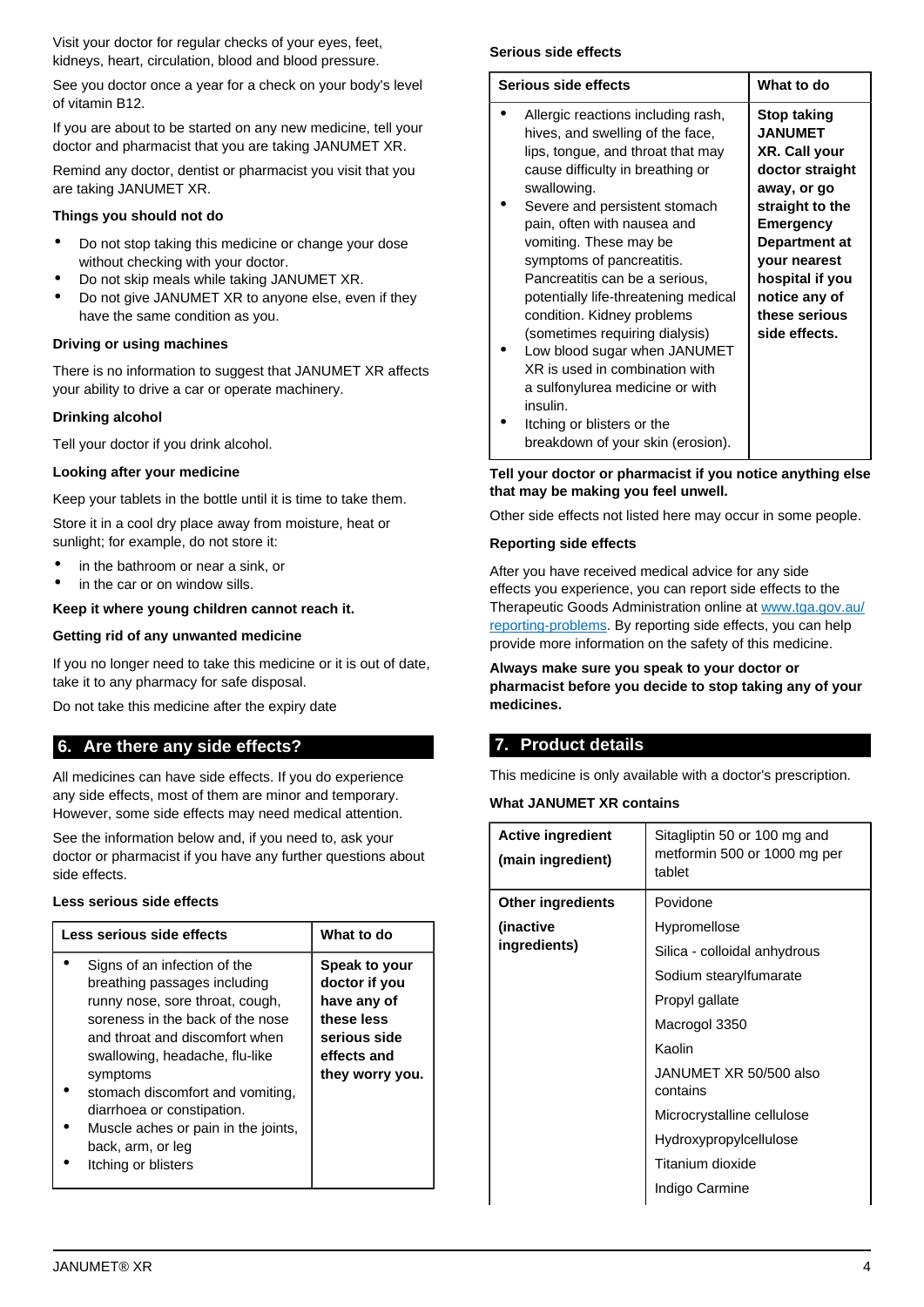Visit your doctor for regular checks of your eyes, feet, kidneys, heart, circulation, blood and blood pressure.

See you doctor once a year for a check on your body's level of vitamin B12.

If you are about to be started on any new medicine, tell your doctor and pharmacist that you are taking JANUMET XR.

Remind any doctor, dentist or pharmacist you visit that you are taking JANUMET XR.

## **Things you should not do**

- Do not stop taking this medicine or change your dose without checking with your doctor.
- Do not skip meals while taking JANUMET XR.
- Do not give JANUMET XR to anyone else, even if they have the same condition as you.

## **Driving or using machines**

There is no information to suggest that JANUMET XR affects your ability to drive a car or operate machinery.

## **Drinking alcohol**

Tell your doctor if you drink alcohol.

## **Looking after your medicine**

Keep your tablets in the bottle until it is time to take them.

Store it in a cool dry place away from moisture, heat or sunlight; for example, do not store it:

- in the bathroom or near a sink, or
- in the car or on window sills.

## **Keep it where young children cannot reach it.**

## **Getting rid of any unwanted medicine**

If you no longer need to take this medicine or it is out of date, take it to any pharmacy for safe disposal.

Do not take this medicine after the expiry date

## <span id="page-3-0"></span>**6. Are there any side effects?**

All medicines can have side effects. If you do experience any side effects, most of them are minor and temporary. However, some side effects may need medical attention.

See the information below and, if you need to, ask your doctor or pharmacist if you have any further questions about side effects.

## **Less serious side effects**

| Less serious side effects                                                                                                                                                                                                                                                                                                                                                | What to do                                                                                                    |
|--------------------------------------------------------------------------------------------------------------------------------------------------------------------------------------------------------------------------------------------------------------------------------------------------------------------------------------------------------------------------|---------------------------------------------------------------------------------------------------------------|
| Signs of an infection of the<br>breathing passages including<br>runny nose, sore throat, cough,<br>soreness in the back of the nose<br>and throat and discomfort when<br>swallowing, headache, flu-like<br>symptoms<br>stomach discomfort and vomiting,<br>diarrhoea or constipation.<br>Muscle aches or pain in the joints,<br>back, arm, or leg<br>Itching or blisters | Speak to your<br>doctor if you<br>have any of<br>these less<br>serious side<br>effects and<br>they worry you. |

## **Serious side effects**

| Serious side effects                                                                                                                                                                                                                                                                                                                                                                                                                                                                                                                                                           | What to do                                                                                                                                                                                                                            |  |  |
|--------------------------------------------------------------------------------------------------------------------------------------------------------------------------------------------------------------------------------------------------------------------------------------------------------------------------------------------------------------------------------------------------------------------------------------------------------------------------------------------------------------------------------------------------------------------------------|---------------------------------------------------------------------------------------------------------------------------------------------------------------------------------------------------------------------------------------|--|--|
| Allergic reactions including rash,<br>hives, and swelling of the face,<br>lips, tongue, and throat that may<br>cause difficulty in breathing or<br>swallowing.<br>Severe and persistent stomach<br>pain, often with nausea and<br>vomiting. These may be<br>symptoms of pancreatitis.<br>Pancreatitis can be a serious,<br>potentially life-threatening medical<br>condition. Kidney problems<br>(sometimes requiring dialysis)<br>Low blood sugar when JANUMET<br>XR is used in combination with<br>a sulfonylurea medicine or with<br>insulin.<br>Itching or blisters or the | <b>Stop taking</b><br><b>JANUMET</b><br>XR. Call your<br>doctor straight<br>away, or go<br>straight to the<br><b>Emergency</b><br>Department at<br>your nearest<br>hospital if you<br>notice any of<br>these serious<br>side effects. |  |  |
| breakdown of your skin (erosion).                                                                                                                                                                                                                                                                                                                                                                                                                                                                                                                                              |                                                                                                                                                                                                                                       |  |  |

#### **Tell your doctor or pharmacist if you notice anything else that may be making you feel unwell.**

Other side effects not listed here may occur in some people.

#### **Reporting side effects**

After you have received medical advice for any side effects you experience, you can report side effects to the Therapeutic Goods Administration online at [www.tga.gov.au/](http://www.tga.gov.au/reporting-problems) [reporting-problems](http://www.tga.gov.au/reporting-problems). By reporting side effects, you can help provide more information on the safety of this medicine.

**Always make sure you speak to your doctor or pharmacist before you decide to stop taking any of your medicines.**

## <span id="page-3-1"></span>**7. Product details**

This medicine is only available with a doctor's prescription.

#### **What JANUMET XR contains**

| <b>Active ingredient</b><br>(main ingredient) | Sitagliptin 50 or 100 mg and<br>metformin 500 or 1000 mg per<br>tablet |
|-----------------------------------------------|------------------------------------------------------------------------|
| <b>Other ingredients</b>                      | Povidone                                                               |
| (inactive                                     | Hypromellose                                                           |
| ingredients)                                  | Silica - colloidal anhydrous                                           |
|                                               | Sodium stearylfumarate                                                 |
|                                               | Propyl gallate                                                         |
|                                               | Macrogol 3350                                                          |
|                                               | Kaolin                                                                 |
|                                               | JANUMET XR 50/500 also<br>contains                                     |
|                                               | Microcrystalline cellulose                                             |
|                                               | Hydroxypropylcellulose                                                 |
|                                               | Titanium dioxide                                                       |
|                                               | Indigo Carmine                                                         |